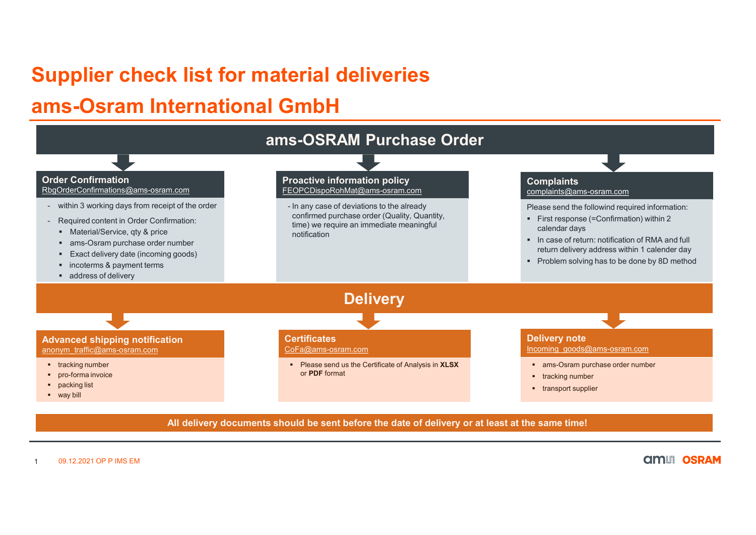## ams-Osram International GmbH



1 09.12.2021 OP P IMS EM

**AMILI OSRAM**